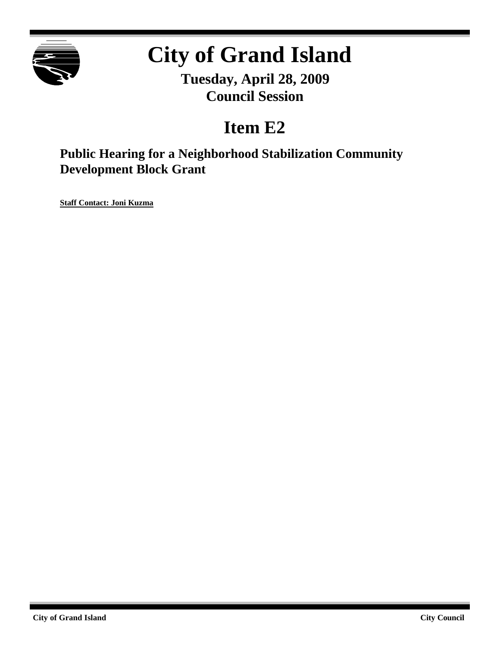

# **City of Grand Island**

**Tuesday, April 28, 2009 Council Session**

### **Item E2**

**Public Hearing for a Neighborhood Stabilization Community Development Block Grant**

**Staff Contact: Joni Kuzma**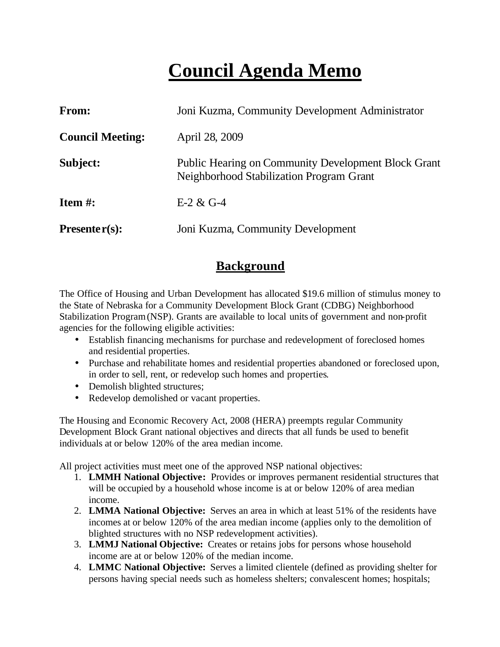## **Council Agenda Memo**

| <b>From:</b>            | Joni Kuzma, Community Development Administrator                                                               |  |
|-------------------------|---------------------------------------------------------------------------------------------------------------|--|
| <b>Council Meeting:</b> | April 28, 2009                                                                                                |  |
| Subject:                | <b>Public Hearing on Community Development Block Grant</b><br><b>Neighborhood Stabilization Program Grant</b> |  |
| Item $#$ :              | $E-2 & G-4$                                                                                                   |  |
| Presenter $(s)$ :       | Joni Kuzma, Community Development                                                                             |  |

#### **Background**

The Office of Housing and Urban Development has allocated \$19.6 million of stimulus money to the State of Nebraska for a Community Development Block Grant (CDBG) Neighborhood Stabilization Program (NSP). Grants are available to local units of government and non-profit agencies for the following eligible activities:

- Establish financing mechanisms for purchase and redevelopment of foreclosed homes and residential properties.
- Purchase and rehabilitate homes and residential properties abandoned or foreclosed upon, in order to sell, rent, or redevelop such homes and properties.
- Demolish blighted structures;
- Redevelop demolished or vacant properties.

The Housing and Economic Recovery Act, 2008 (HERA) preempts regular Community Development Block Grant national objectives and directs that all funds be used to benefit individuals at or below 120% of the area median income.

All project activities must meet one of the approved NSP national objectives:

- 1. **LMMH National Objective:** Provides or improves permanent residential structures that will be occupied by a household whose income is at or below 120% of area median income.
- 2. **LMMA National Objective:** Serves an area in which at least 51% of the residents have incomes at or below 120% of the area median income (applies only to the demolition of blighted structures with no NSP redevelopment activities).
- 3. **LMMJ National Objective:** Creates or retains jobs for persons whose household income are at or below 120% of the median income.
- 4. **LMMC National Objective:** Serves a limited clientele (defined as providing shelter for persons having special needs such as homeless shelters; convalescent homes; hospitals;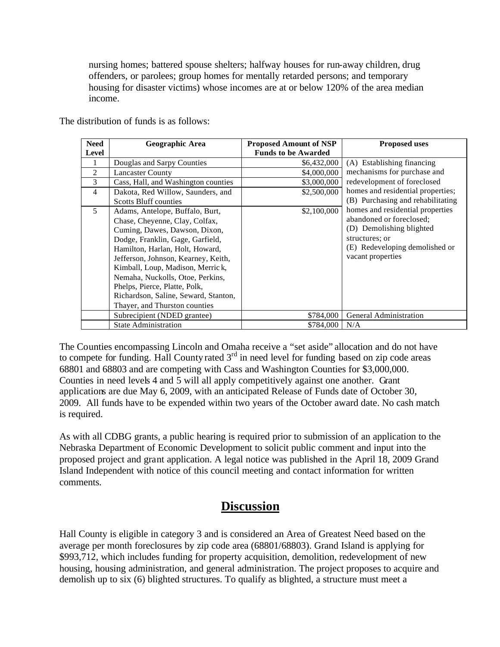nursing homes; battered spouse shelters; halfway houses for run-away children, drug offenders, or parolees; group homes for mentally retarded persons; and temporary housing for disaster victims) whose incomes are at or below 120% of the area median income.

| <b>Need</b>    | Geographic Area                      | <b>Proposed Amount of NSP</b> | <b>Proposed uses</b>              |
|----------------|--------------------------------------|-------------------------------|-----------------------------------|
| <b>Level</b>   |                                      | <b>Funds to be Awarded</b>    |                                   |
|                | Douglas and Sarpy Counties           | \$6,432,000                   | (A) Establishing financing        |
| 2              | <b>Lancaster County</b>              | \$4,000,000                   | mechanisms for purchase and       |
| 3              | Cass, Hall, and Washington counties  | \$3,000,000                   | redevelopment of foreclosed       |
| $\overline{4}$ | Dakota, Red Willow, Saunders, and    | \$2,500,000                   | homes and residential properties; |
|                | <b>Scotts Bluff counties</b>         |                               | (B) Purchasing and rehabilitating |
| 5              | Adams, Antelope, Buffalo, Burt,      | \$2,100,000                   | homes and residential properties  |
|                | Chase, Cheyenne, Clay, Colfax,       |                               | abandoned or foreclosed;          |
|                | Cuming, Dawes, Dawson, Dixon,        |                               | (D) Demolishing blighted          |
|                | Dodge, Franklin, Gage, Garfield,     |                               | structures; or                    |
|                | Hamilton, Harlan, Holt, Howard,      |                               | (E) Redeveloping demolished or    |
|                | Jefferson, Johnson, Kearney, Keith,  |                               | vacant properties                 |
|                | Kimball, Loup, Madison, Merrick,     |                               |                                   |
|                | Nemaha, Nuckolls, Otoe, Perkins,     |                               |                                   |
|                | Phelps, Pierce, Platte, Polk,        |                               |                                   |
|                | Richardson, Saline, Seward, Stanton, |                               |                                   |
|                | Thayer, and Thurston counties        |                               |                                   |
|                | Subrecipient (NDED grantee)          | \$784,000                     | General Administration            |
|                | <b>State Administration</b>          | \$784,000                     | N/A                               |

The distribution of funds is as follows:

The Counties encompassing Lincoln and Omaha receive a "set aside" allocation and do not have to compete for funding. Hall County rated  $3<sup>rd</sup>$  in need level for funding based on zip code areas 68801 and 68803 and are competing with Cass and Washington Counties for \$3,000,000. Counties in need levels 4 and 5 will all apply competitively against one another. Grant applications are due May 6, 2009, with an anticipated Release of Funds date of October 30, 2009. All funds have to be expended within two years of the October award date. No cash match is required.

As with all CDBG grants, a public hearing is required prior to submission of an application to the Nebraska Department of Economic Development to solicit public comment and input into the proposed project and grant application. A legal notice was published in the April 18, 2009 Grand Island Independent with notice of this council meeting and contact information for written comments.

#### **Discussion**

Hall County is eligible in category 3 and is considered an Area of Greatest Need based on the average per month foreclosures by zip code area (68801/68803). Grand Island is applying for \$993,712, which includes funding for property acquisition, demolition, redevelopment of new housing, housing administration, and general administration. The project proposes to acquire and demolish up to six (6) blighted structures. To qualify as blighted, a structure must meet a